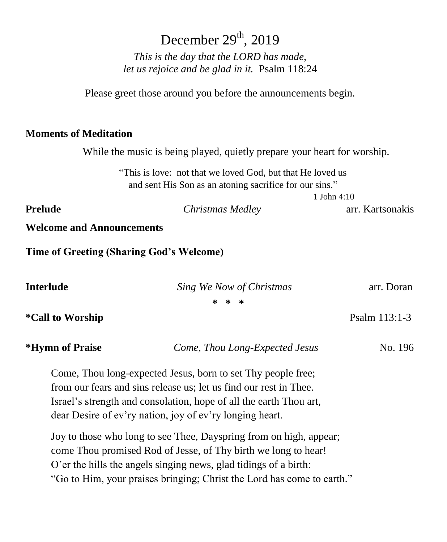# December  $29<sup>th</sup>$ , 2019

*This is the day that the LORD has made, let us rejoice and be glad in it.* Psalm 118:24

Please greet those around you before the announcements begin.

### **Moments of Meditation**

While the music is being played, quietly prepare your heart for worship.

"This is love: not that we loved God, but that He loved us and sent His Son as an atoning sacrifice for our sins."

1 John 4:10

**Prelude** *Christmas Medley* arr. Kartsonakis

**Welcome and Announcements**

**Time of Greeting (Sharing God's Welcome)**

| Interlude               | Sing We Now of Christmas                                           | arr. Doran    |
|-------------------------|--------------------------------------------------------------------|---------------|
|                         | * * *                                                              |               |
| <i>*Call to Worship</i> |                                                                    | Psalm 113:1-3 |
| *Hymn of Praise         | Come, Thou Long-Expected Jesus                                     | No. 196       |
|                         | Come, Thou long-expected Jesus, born to set Thy people free;       |               |
|                         | from our fears and sins release us; let us find our rest in Thee.  |               |
|                         | Israel's strength and consolation, hope of all the earth Thou art, |               |
|                         | dear Desire of ev'ry nation, joy of ev'ry longing heart.           |               |

Joy to those who long to see Thee, Dayspring from on high, appear; come Thou promised Rod of Jesse, of Thy birth we long to hear! O'er the hills the angels singing news, glad tidings of a birth: "Go to Him, your praises bringing; Christ the Lord has come to earth."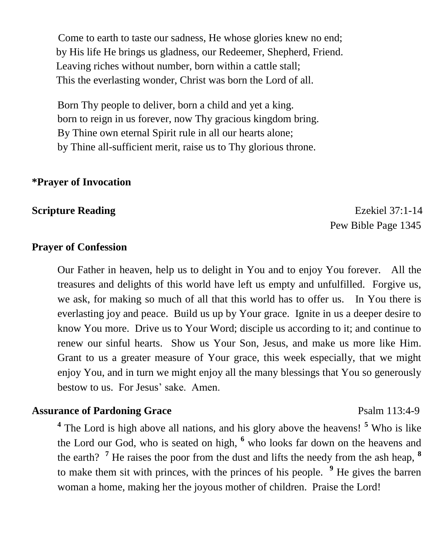Come to earth to taste our sadness, He whose glories knew no end; by His life He brings us gladness, our Redeemer, Shepherd, Friend. Leaving riches without number, born within a cattle stall; This the everlasting wonder, Christ was born the Lord of all.

Born Thy people to deliver, born a child and yet a king. born to reign in us forever, now Thy gracious kingdom bring. By Thine own eternal Spirit rule in all our hearts alone; by Thine all-sufficient merit, raise us to Thy glorious throne.

### **\*Prayer of Invocation**

**Scripture Reading Ezekiel 37:1-14** Pew Bible Page 1345

### **Prayer of Confession**

Our Father in heaven, help us to delight in You and to enjoy You forever. All the treasures and delights of this world have left us empty and unfulfilled. Forgive us, we ask, for making so much of all that this world has to offer us. In You there is everlasting joy and peace. Build us up by Your grace. Ignite in us a deeper desire to know You more. Drive us to Your Word; disciple us according to it; and continue to renew our sinful hearts. Show us Your Son, Jesus, and make us more like Him. Grant to us a greater measure of Your grace, this week especially, that we might enjoy You, and in turn we might enjoy all the many blessings that You so generously bestow to us. For Jesus' sake. Amen.

#### **Assurance of Pardoning Grace** Psalm 113:4-9

**4** The Lord is high above all nations, and his glory above the heavens! **<sup>5</sup>** Who is like the Lord our God, who is seated on high, **<sup>6</sup>** who looks far down on the heavens and the earth? **<sup>7</sup>** He raises the poor from the dust and lifts the needy from the ash heap, **<sup>8</sup>** to make them sit with princes, with the princes of his people. **<sup>9</sup>** He gives the barren woman a home, making her the joyous mother of children. Praise the Lord!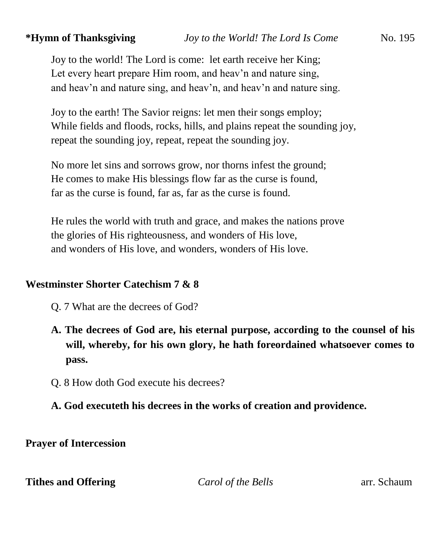Joy to the world! The Lord is come: let earth receive her King; Let every heart prepare Him room, and heav'n and nature sing, and heav'n and nature sing, and heav'n, and heav'n and nature sing.

Joy to the earth! The Savior reigns: let men their songs employ; While fields and floods, rocks, hills, and plains repeat the sounding joy, repeat the sounding joy, repeat, repeat the sounding joy.

No more let sins and sorrows grow, nor thorns infest the ground; He comes to make His blessings flow far as the curse is found, far as the curse is found, far as, far as the curse is found.

He rules the world with truth and grace, and makes the nations prove the glories of His righteousness, and wonders of His love, and wonders of His love, and wonders, wonders of His love.

### **Westminster Shorter Catechism 7 & 8**

- Q. 7 What are the decrees of God?
- **A. The decrees of God are, his eternal purpose, according to the counsel of his will, whereby, for his own glory, he hath foreordained whatsoever comes to pass.**
- Q. 8 How doth God execute his decrees?

### **A. God executeth his decrees in the works of creation and providence.**

**Prayer of Intercession**

**Tithes and Offering** *Carol of the Bells* arr. Schaum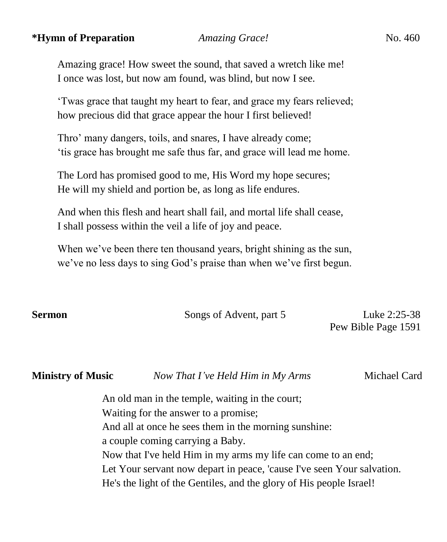#### **\*Hymn of Preparation** *Amazing Grace!* No. 460

Amazing grace! How sweet the sound, that saved a wretch like me! I once was lost, but now am found, was blind, but now I see.

'Twas grace that taught my heart to fear, and grace my fears relieved; how precious did that grace appear the hour I first believed!

Thro' many dangers, toils, and snares, I have already come; 'tis grace has brought me safe thus far, and grace will lead me home.

The Lord has promised good to me, His Word my hope secures; He will my shield and portion be, as long as life endures.

And when this flesh and heart shall fail, and mortal life shall cease, I shall possess within the veil a life of joy and peace.

When we've been there ten thousand years, bright shining as the sun, we've no less days to sing God's praise than when we've first begun.

**Sermon Songs of Advent, part 5** Luke 2:25-38

Pew Bible Page 1591

**Ministry of Music** *Now That I've Held Him in My Arms*Michael Card

An old man in the temple, waiting in the court; Waiting for the answer to a promise; And all at once he sees them in the morning sunshine: a couple coming carrying a Baby. Now that I've held Him in my arms my life can come to an end; Let Your servant now depart in peace, 'cause I've seen Your salvation. He's the light of the Gentiles, and the glory of His people Israel!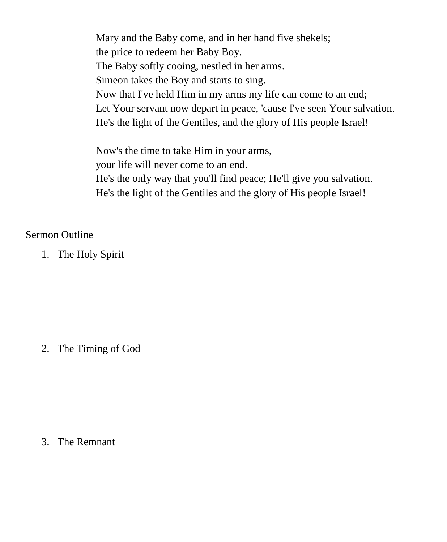Mary and the Baby come, and in her hand five shekels; the price to redeem her Baby Boy. The Baby softly cooing, nestled in her arms. Simeon takes the Boy and starts to sing. Now that I've held Him in my arms my life can come to an end; Let Your servant now depart in peace, 'cause I've seen Your salvation. He's the light of the Gentiles, and the glory of His people Israel!

Now's the time to take Him in your arms, your life will never come to an end. He's the only way that you'll find peace; He'll give you salvation. He's the light of the Gentiles and the glory of His people Israel!

### Sermon Outline

1. The Holy Spirit

2. The Timing of God

3. The Remnant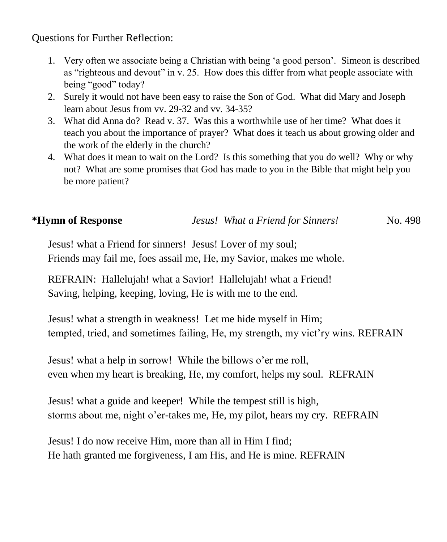Questions for Further Reflection:

- 1. Very often we associate being a Christian with being 'a good person'. Simeon is described as "righteous and devout" in v. 25. How does this differ from what people associate with being "good" today?
- 2. Surely it would not have been easy to raise the Son of God. What did Mary and Joseph learn about Jesus from vv. 29-32 and vv. 34-35?
- 3. What did Anna do? Read v. 37. Was this a worthwhile use of her time? What does it teach you about the importance of prayer? What does it teach us about growing older and the work of the elderly in the church?
- 4. What does it mean to wait on the Lord? Is this something that you do well? Why or why not? What are some promises that God has made to you in the Bible that might help you be more patient?

## **\*Hymn of Response** *Jesus! What a Friend for Sinners!* No. 498

Jesus! what a Friend for sinners! Jesus! Lover of my soul; Friends may fail me, foes assail me, He, my Savior, makes me whole.

REFRAIN: Hallelujah! what a Savior! Hallelujah! what a Friend! Saving, helping, keeping, loving, He is with me to the end.

Jesus! what a strength in weakness! Let me hide myself in Him; tempted, tried, and sometimes failing, He, my strength, my vict'ry wins. REFRAIN

Jesus! what a help in sorrow! While the billows o'er me roll, even when my heart is breaking, He, my comfort, helps my soul. REFRAIN

Jesus! what a guide and keeper! While the tempest still is high, storms about me, night o'er-takes me, He, my pilot, hears my cry. REFRAIN

Jesus! I do now receive Him, more than all in Him I find; He hath granted me forgiveness, I am His, and He is mine. REFRAIN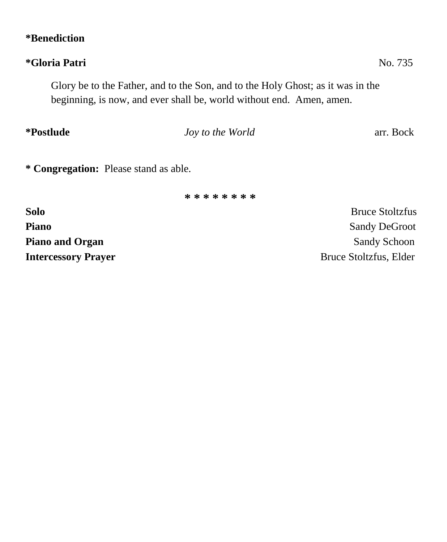## **\*Benediction**

# **\*Gloria Patri** No. 735

Glory be to the Father, and to the Son, and to the Holy Ghost; as it was in the beginning, is now, and ever shall be, world without end. Amen, amen.

# *Joy to the World* arr. Bock

**\* Congregation:** Please stand as able.

**\* \* \* \* \* \* \* \***

**Solo** Bruce Stoltzfus **Piano** Sandy DeGroot **Piano and Organ** Sandy Schoon Sandy Schoon **Intercessory Prayer** Bruce Stoltzfus, Elder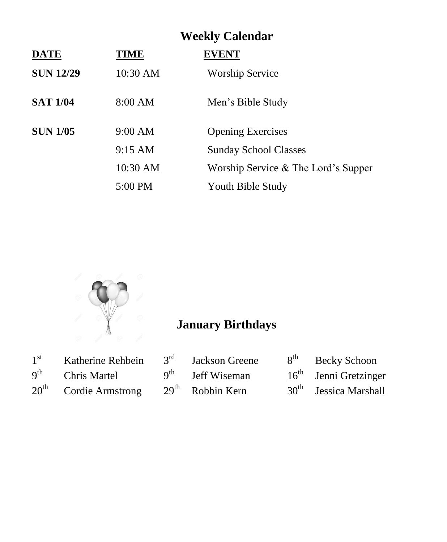| <b>Weekly Calendar</b> |                   |                                     |  |  |
|------------------------|-------------------|-------------------------------------|--|--|
| <b>DATE</b>            | TIME              | <b>EVENT</b>                        |  |  |
| <b>SUN 12/29</b>       | 10:30 AM          | <b>Worship Service</b>              |  |  |
| <b>SAT 1/04</b>        | 8:00 AM           | Men's Bible Study                   |  |  |
| <b>SUN 1/05</b>        | 9:00 AM           | <b>Opening Exercises</b>            |  |  |
|                        | $9:15 \text{ AM}$ | <b>Sunday School Classes</b>        |  |  |
|                        | 10:30 AM          | Worship Service & The Lord's Supper |  |  |
|                        | 5:00 PM           | Youth Bible Study                   |  |  |



# **January Birthdays**

| 1 <sup>st</sup>          | Katherine Rehbein       | 3 <sup>rd</sup> Jackson Greene | 8 <sup>th</sup> Becky Schoon      |
|--------------------------|-------------------------|--------------------------------|-----------------------------------|
| $\mathbf{Q}^{\text{th}}$ | Chris Martel            | $9th$ Jeff Wiseman             | $16th$ Jenni Gretzinger           |
|                          | $20th$ Cordie Armstrong | $29th$ Robbin Kern             | 30 <sup>th</sup> Jessica Marshall |